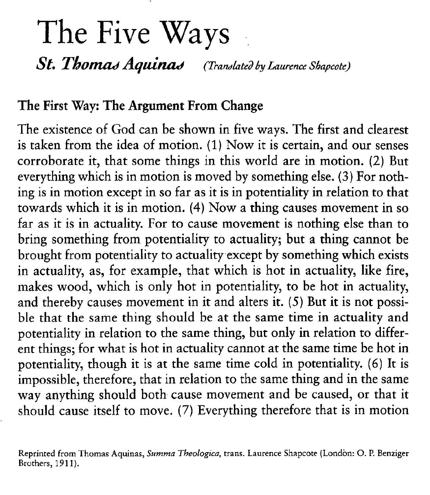# **The Five** Ways *St. Thomas Aquinas (Translated by Laurence Shapcote)*

#### The First Way: The Argument From Change

The existence of God can be shown in five ways. The first and clearest is taken from the idea of motion. (1) Now it is certain, and our senses corroborate it, that some things in this world are in motion. (2) But everything which is in motion is moved by something else. (3) For nothing is in motion except in so far as it is in potentiality in relation to that towards which it is in motion. (4) Now a thing causes movement in so far as it is in actuality. For to cause movement is nothing else than to bring something from potentiality to actuality; but a thing cannot be brought from potentiality to actuality except by something which exists in actuality, as, for example, that which is hot in actuality, like fire, makes wood, which is only hot in potentiality, to be hot in actuality, and thereby causes movement in it and alters it. (5) But it is not possible that the same thing should be at the same time in actuality and potentiality in relation to the same thing, but only in relation to different things; for what is hot in actuality cannot at the same time be hot in potentiality, though it is at the same time cold in potentiality. (6) It is impossible, therefore, that in relation to the same thing and in the same way anything should both cause movement and be caused, or that it should cause itself to move. (7) Everything therefore that is in motion

Reprinted from Thomas Aquinas, *Summa Theologica*, trans. Laurence Shapcote (London: O. P. Benziger Brothers, 1911).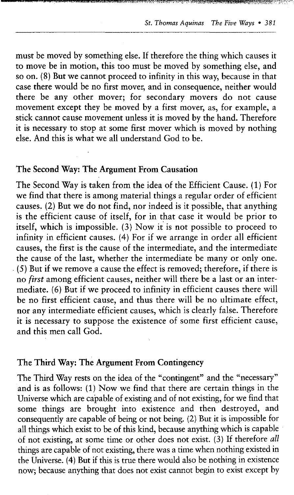must be moved by something else. If therefore the thing which causes it to move be in motion, this too must be moved by something else, and so on. (8) But we cannot proceed to infinity in this way, because in that case there would be no first mover, and in consequence, neither would there be any other mover; for secondary movers do not cause movement except they be moved by a first mover, as, for example, a stick cannot cause movement unless it is moved by the hand. Therefore it is necessary to stop at some first mover which is moved by nothing else. And this is what we all understand God to be.

## The Second Way: The Argument From Causation

The Second Way is taken from the idea of the Efficient Cause. (1) For we find that there is among material things a regular order of efficient causes. (2) But we do not find, nor indeed is it possible, that anything is the efficient cause of itself, for in that case it would be prior to itself, which is impossible. (3) Now it is not possible to proceed to infinity in efficient causes. (4) For if we arrange in order all efficient causes, the first is the cause of the intermediate, and the intermediate the cause of the last, whether the intermediate be many or only one. . (5) But if we remove a cause the effect is removed; therefore, if there is no *first* among efficient causes, neither will there be a last or an intermediate. (6) But if we proceed to infinity in efficient causes there will be no first efficient cause, and thus there will be no ultimate effect, nor any intermediate efficient causes, which is dearly false. Therefore it is necessary to suppose the existence of some first efficient cause, and this men call God.

# The Third Way: The Argument From Contingency

The Third Way rests on the idea of the "contingent" and the "necessary" and is as follows: (1) Now we find that there are certain things in the Universe which are capable of existing and of not existing, for we find that some things are brought into existence arid then destroyed, and consequently are capable of being or not being. (2) But it is impossible for all things which exist to be of this kind, because anything which is capable bf not existing, at some time or other does not exist. (3) If therefore *all*  things are capable of not existing, there was a time when nothing existed in the Universe. (4) But if this is true there would also be nothing in existence now; because anything that does not exist cannot begin to exist except by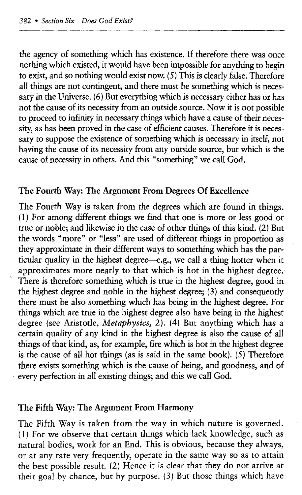the agency of something which has existence. If therefore there was once nothing which existed, it would have been impossible for anything to begin to exist, and so nothing would exist now. (5) This is clearly false. Therefore all things are not contingent, and there must be something which is necessary in the Universe. (6) But everything which is necessary either has or has not the cause of its necessity from an outside source. Now it is not possible to proceed to infinity in necessary things which have a cause of their necessity, as has been proved in the case of efficient causes. Therefore it is necessary to suppose the existence of something which is necessary in itself, not having the cause of its necessity from any outside source, but which is the cause of necessity in others. And this "something" we call God.

# The Fourth Way: The Argument From Degrees Of Excellence

The Fourth Way is taken from the degrees which are found in things. (1) For among different things we find that one is more or less good or true or noble; and likewise in the case of other things of this kind. (2) But the words "more" or "less" are used of different things in proportion as they approximate in their different ways to something which has the particular quality in the highest degree-e.g., we call a thing hotter when it approximates more nearly to that which is hot in the highest degree. There is therefore something which is true in the highest degree, good in the highest degree and noble in the highest degree; (3) and consequently there must be also something which has being in the highest degree. For things which are true in the highest degree also have being in the highest degree (see Aristotle, *Metaphysics,* 2). (4) But anything which has a certain quality of any kind in the highest degree is also the cause of all things of that kind, as, for example, fire which is hot in the highest degree is the cause of all hot things (as is said in the same book). (5) Therefore there exists something which is the cause of being, and goodness, and of every perfection in all existing things; and this we call God.

#### The Fifth Way: The Argument From Harmony

The Fifth Way is taken from the way in which nature is governed. (1) For we observe that certain things which lack knowledge, such as natural bodies, work for an End. This is obvious, because they always, or at any rate very frequently, operate in the same way so as to attain the best possible result. (2) Hence it is clear that they do not arrive at their goal by chance, but by purpose. (3) But those things which have